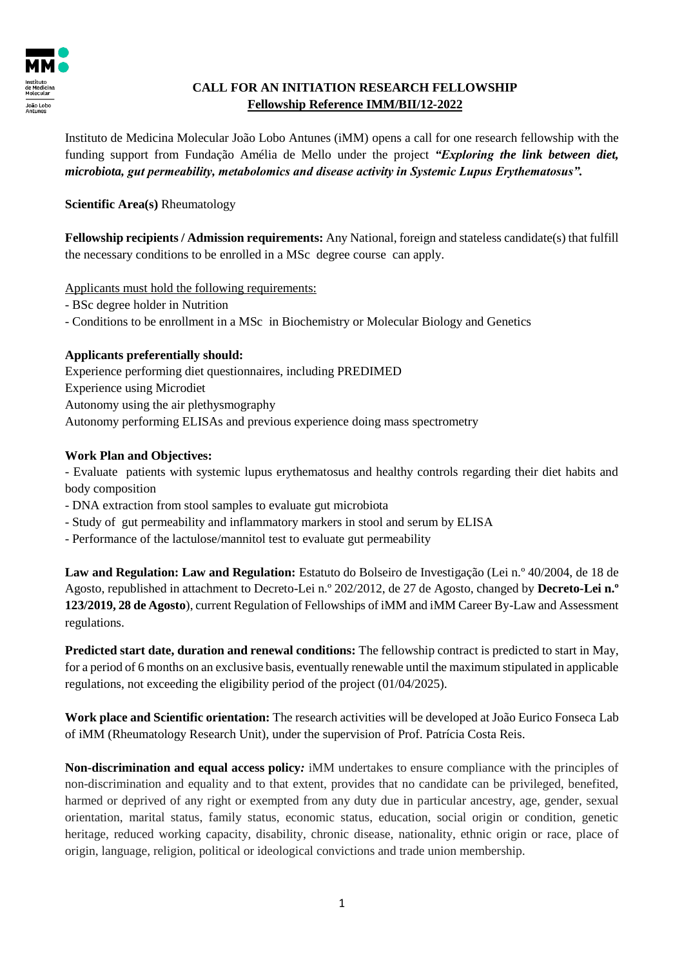

## **CALL FOR AN INITIATION RESEARCH FELLOWSHIP Fellowship Reference IMM/BII/12-2022**

Instituto de Medicina Molecular João Lobo Antunes (iMM) opens a call for one research fellowship with the funding support from Fundação Amélia de Mello under the project *"Exploring the link between diet, microbiota, gut permeability, metabolomics and disease activity in Systemic Lupus Erythematosus".*

**Scientific Area(s)** Rheumatology

**Fellowship recipients / Admission requirements:** Any National, foreign and stateless candidate(s) that fulfill the necessary conditions to be enrolled in a MSc degree course can apply.

## Applicants must hold the following requirements:

- BSc degree holder in Nutrition
- Conditions to be enrollment in a MSc in Biochemistry or Molecular Biology and Genetics

## **Applicants preferentially should:**

Experience performing diet questionnaires, including PREDIMED Experience using Microdiet Autonomy using the air plethysmography Autonomy performing ELISAs and previous experience doing mass spectrometry

## **Work Plan and Objectives:**

- Evaluate patients with systemic lupus erythematosus and healthy controls regarding their diet habits and body composition

- DNA extraction from stool samples to evaluate gut microbiota
- Study of gut permeability and inflammatory markers in stool and serum by ELISA
- Performance of the lactulose/mannitol test to evaluate gut permeability

**Law and Regulation: Law and Regulation:** Estatuto do Bolseiro de Investigação (Lei n.º 40/2004, de 18 de Agosto, republished in attachment to Decreto-Lei n.º 202/2012, de 27 de Agosto, changed by **Decreto-Lei n.º 123/2019, 28 de Agosto**), current Regulation of Fellowships of iMM and iMM Career By-Law and Assessment regulations.

**Predicted start date, duration and renewal conditions:** The fellowship contract is predicted to start in May, for a period of 6 months on an exclusive basis, eventually renewable until the maximum stipulated in applicable regulations, not exceeding the eligibility period of the project (01/04/2025).

**Work place and Scientific orientation:** The research activities will be developed at João Eurico Fonseca Lab of iMM (Rheumatology Research Unit), under the supervision of Prof. Patrícia Costa Reis.

**Non-discrimination and equal access policy***:* iMM undertakes to ensure compliance with the principles of non-discrimination and equality and to that extent, provides that no candidate can be privileged, benefited, harmed or deprived of any right or exempted from any duty due in particular ancestry, age, gender, sexual orientation, marital status, family status, economic status, education, social origin or condition, genetic heritage, reduced working capacity, disability, chronic disease, nationality, ethnic origin or race, place of origin, language, religion, political or ideological convictions and trade union membership.